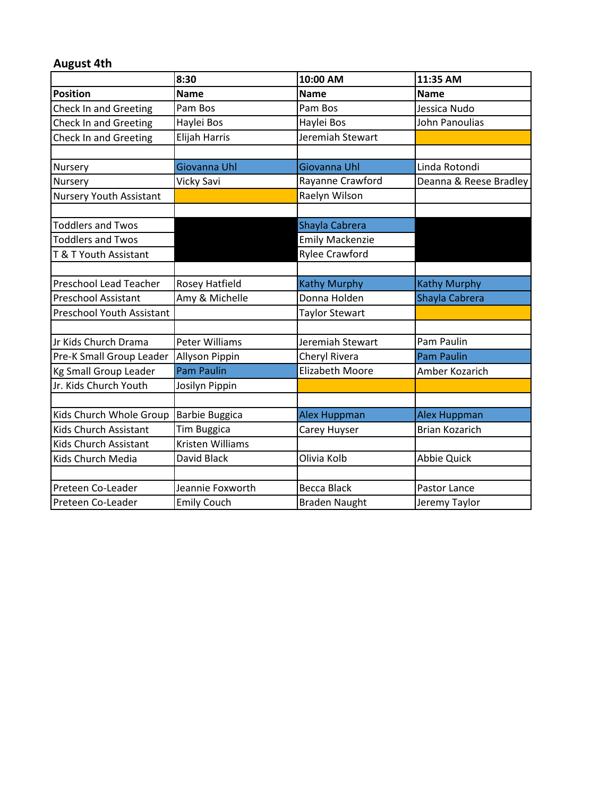## **August 4th**

|                                  | 8:30                  | 10:00 AM               | 11:35 AM               |
|----------------------------------|-----------------------|------------------------|------------------------|
| <b>Position</b>                  | <b>Name</b>           | <b>Name</b>            | <b>Name</b>            |
| <b>Check In and Greeting</b>     | Pam Bos               | Pam Bos                | Jessica Nudo           |
| Check In and Greeting            | Haylei Bos            | Haylei Bos             | John Panoulias         |
| <b>Check In and Greeting</b>     | Elijah Harris         | Jeremiah Stewart       |                        |
|                                  |                       |                        |                        |
| Nursery                          | Giovanna Uhl          | Giovanna Uhl           | Linda Rotondi          |
| Nursery                          | <b>Vicky Savi</b>     | Rayanne Crawford       | Deanna & Reese Bradley |
| <b>Nursery Youth Assistant</b>   |                       | Raelyn Wilson          |                        |
|                                  |                       |                        |                        |
| <b>Toddlers and Twos</b>         |                       | Shayla Cabrera         |                        |
| <b>Toddlers and Twos</b>         |                       | <b>Emily Mackenzie</b> |                        |
| T & T Youth Assistant            |                       | <b>Rylee Crawford</b>  |                        |
|                                  |                       |                        |                        |
| <b>Preschool Lead Teacher</b>    | <b>Rosey Hatfield</b> | <b>Kathy Murphy</b>    | <b>Kathy Murphy</b>    |
| <b>Preschool Assistant</b>       | Amy & Michelle        | Donna Holden           | Shayla Cabrera         |
| <b>Preschool Youth Assistant</b> |                       | <b>Taylor Stewart</b>  |                        |
|                                  |                       |                        |                        |
| Jr Kids Church Drama             | <b>Peter Williams</b> | Jeremiah Stewart       | Pam Paulin             |
| Pre-K Small Group Leader         | <b>Allyson Pippin</b> | Cheryl Rivera          | <b>Pam Paulin</b>      |
| <b>Kg Small Group Leader</b>     | <b>Pam Paulin</b>     | <b>Elizabeth Moore</b> | Amber Kozarich         |
| Jr. Kids Church Youth            | Josilyn Pippin        |                        |                        |
|                                  |                       |                        |                        |
| Kids Church Whole Group          | <b>Barbie Buggica</b> | <b>Alex Huppman</b>    | <b>Alex Huppman</b>    |
| Kids Church Assistant            | <b>Tim Buggica</b>    | Carey Huyser           | <b>Brian Kozarich</b>  |
| Kids Church Assistant            | Kristen Williams      |                        |                        |
| Kids Church Media                | David Black           | Olivia Kolb            | <b>Abbie Quick</b>     |
|                                  |                       |                        |                        |
| Preteen Co-Leader                | Jeannie Foxworth      | <b>Becca Black</b>     | Pastor Lance           |
| Preteen Co-Leader                | <b>Emily Couch</b>    | <b>Braden Naught</b>   | Jeremy Taylor          |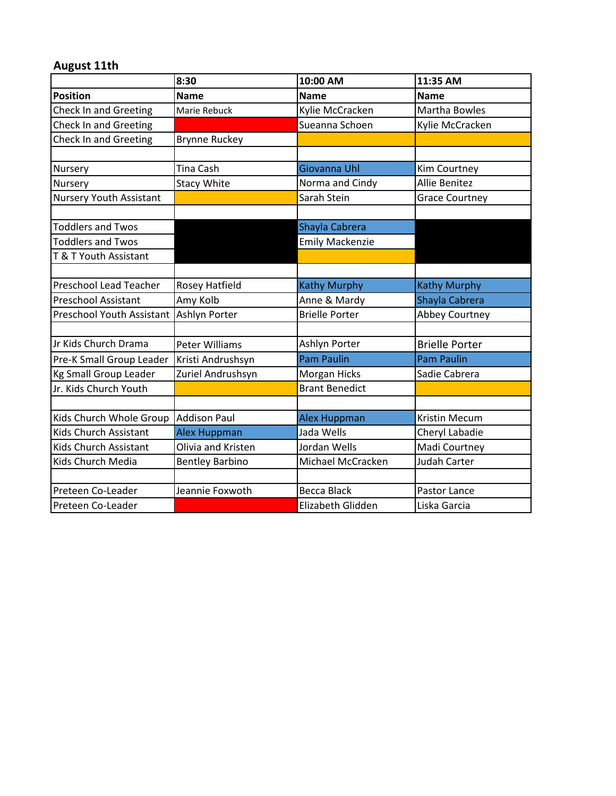## **August 11th**

|                                  | 8:30                   | 10:00 AM               | 11:35 AM              |
|----------------------------------|------------------------|------------------------|-----------------------|
| <b>Position</b>                  | <b>Name</b>            | <b>Name</b>            | <b>Name</b>           |
| <b>Check In and Greeting</b>     | Marie Rebuck           | Kylie McCracken        | Martha Bowles         |
| <b>Check In and Greeting</b>     |                        | Sueanna Schoen         | Kylie McCracken       |
| <b>Check In and Greeting</b>     | <b>Brynne Ruckey</b>   |                        |                       |
|                                  |                        |                        |                       |
| Nursery                          | Tina Cash              | Giovanna Uhl           | Kim Courtney          |
| Nursery                          | <b>Stacy White</b>     | Norma and Cindy        | <b>Allie Benitez</b>  |
| <b>Nursery Youth Assistant</b>   |                        | Sarah Stein            | <b>Grace Courtney</b> |
|                                  |                        |                        |                       |
| <b>Toddlers and Twos</b>         |                        | Shayla Cabrera         |                       |
| <b>Toddlers and Twos</b>         |                        | <b>Emily Mackenzie</b> |                       |
| T & T Youth Assistant            |                        |                        |                       |
|                                  |                        |                        |                       |
| <b>Preschool Lead Teacher</b>    | Rosey Hatfield         | <b>Kathy Murphy</b>    | <b>Kathy Murphy</b>   |
| Preschool Assistant              | Amy Kolb               | Anne & Mardy           | Shayla Cabrera        |
| <b>Preschool Youth Assistant</b> | Ashlyn Porter          | <b>Brielle Porter</b>  | <b>Abbey Courtney</b> |
|                                  |                        |                        |                       |
| Jr Kids Church Drama             | <b>Peter Williams</b>  | Ashlyn Porter          | <b>Brielle Porter</b> |
| Pre-K Small Group Leader         | Kristi Andrushsyn      | <b>Pam Paulin</b>      | <b>Pam Paulin</b>     |
| <b>Kg Small Group Leader</b>     | Zuriel Andrushsyn      | Morgan Hicks           | Sadie Cabrera         |
| Jr. Kids Church Youth            |                        | <b>Brant Benedict</b>  |                       |
|                                  |                        |                        |                       |
| Kids Church Whole Group          | Addison Paul           | <b>Alex Huppman</b>    | <b>Kristin Mecum</b>  |
| Kids Church Assistant            | <b>Alex Huppman</b>    | Jada Wells             | Cheryl Labadie        |
| Kids Church Assistant            | Olivia and Kristen     | Jordan Wells           | Madi Courtney         |
| Kids Church Media                | <b>Bentley Barbino</b> | Michael McCracken      | Judah Carter          |
|                                  |                        |                        |                       |
| Preteen Co-Leader                | Jeannie Foxwoth        | <b>Becca Black</b>     | Pastor Lance          |
| Preteen Co-Leader                |                        | Elizabeth Glidden      | Liska Garcia          |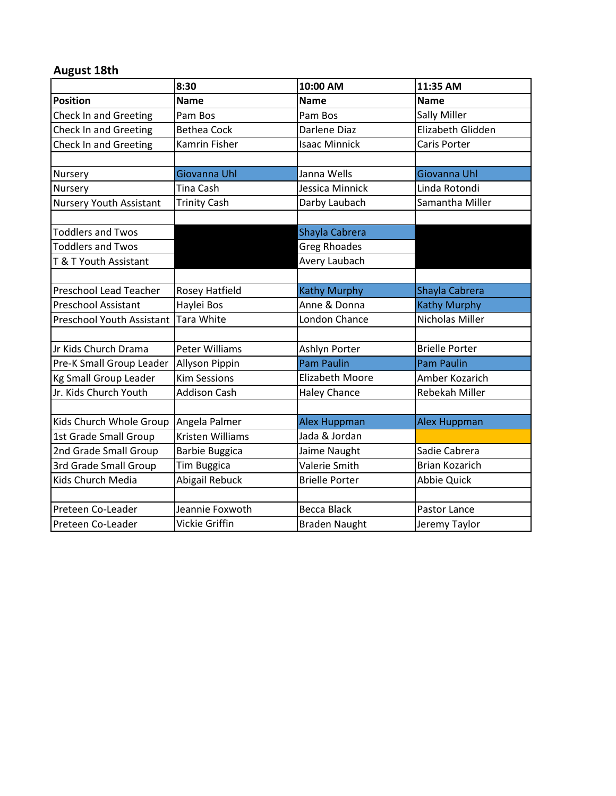## **August 18th**

|                               | 8:30                  | 10:00 AM               | 11:35 AM              |
|-------------------------------|-----------------------|------------------------|-----------------------|
| <b>Position</b>               | <b>Name</b>           | <b>Name</b>            | <b>Name</b>           |
| <b>Check In and Greeting</b>  | Pam Bos               | Pam Bos                | <b>Sally Miller</b>   |
| Check In and Greeting         | <b>Bethea Cock</b>    | Darlene Diaz           | Elizabeth Glidden     |
| <b>Check In and Greeting</b>  | <b>Kamrin Fisher</b>  | <b>Isaac Minnick</b>   | Caris Porter          |
|                               |                       |                        |                       |
| Nursery                       | Giovanna Uhl          | Janna Wells            | Giovanna Uhl          |
| Nursery                       | Tina Cash             | Jessica Minnick        | Linda Rotondi         |
| Nursery Youth Assistant       | <b>Trinity Cash</b>   | Darby Laubach          | Samantha Miller       |
|                               |                       |                        |                       |
| <b>Toddlers and Twos</b>      |                       | Shayla Cabrera         |                       |
| <b>Toddlers and Twos</b>      |                       | <b>Greg Rhoades</b>    |                       |
| T & T Youth Assistant         |                       | Avery Laubach          |                       |
|                               |                       |                        |                       |
| <b>Preschool Lead Teacher</b> | <b>Rosey Hatfield</b> | <b>Kathy Murphy</b>    | Shayla Cabrera        |
| <b>Preschool Assistant</b>    | Haylei Bos            | Anne & Donna           | <b>Kathy Murphy</b>   |
| Preschool Youth Assistant     | <b>Tara White</b>     | London Chance          | Nicholas Miller       |
|                               |                       |                        |                       |
| Jr Kids Church Drama          | <b>Peter Williams</b> | Ashlyn Porter          | <b>Brielle Porter</b> |
| Pre-K Small Group Leader      | <b>Allyson Pippin</b> | <b>Pam Paulin</b>      | <b>Pam Paulin</b>     |
| <b>Kg Small Group Leader</b>  | <b>Kim Sessions</b>   | <b>Elizabeth Moore</b> | Amber Kozarich        |
| Jr. Kids Church Youth         | <b>Addison Cash</b>   | <b>Haley Chance</b>    | Rebekah Miller        |
|                               |                       |                        |                       |
| Kids Church Whole Group       | Angela Palmer         | <b>Alex Huppman</b>    | <b>Alex Huppman</b>   |
| 1st Grade Small Group         | Kristen Williams      | Jada & Jordan          |                       |
| 2nd Grade Small Group         | <b>Barbie Buggica</b> | Jaime Naught           | Sadie Cabrera         |
| 3rd Grade Small Group         | Tim Buggica           | Valerie Smith          | <b>Brian Kozarich</b> |
| Kids Church Media             | Abigail Rebuck        | <b>Brielle Porter</b>  | <b>Abbie Quick</b>    |
|                               |                       |                        |                       |
| Preteen Co-Leader             | Jeannie Foxwoth       | <b>Becca Black</b>     | Pastor Lance          |
| Preteen Co-Leader             | Vickie Griffin        | <b>Braden Naught</b>   | Jeremy Taylor         |